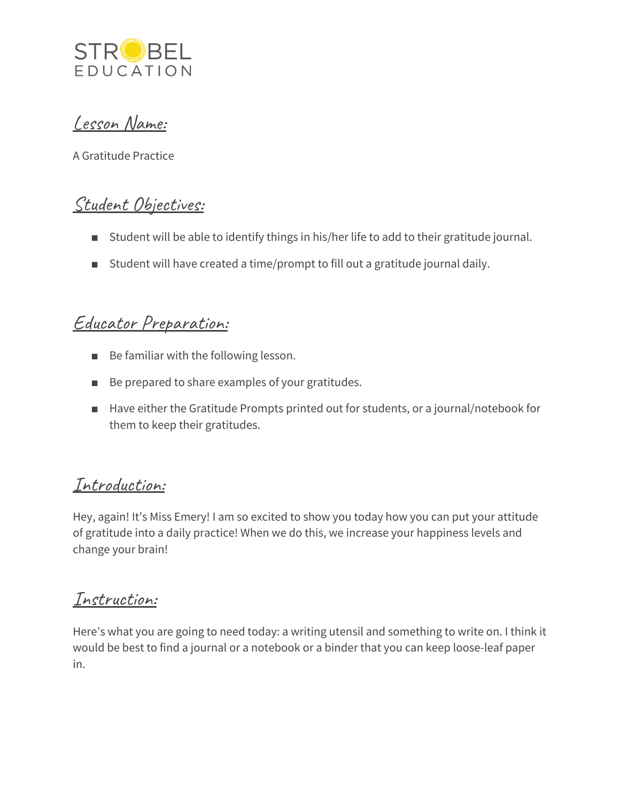

## Lesson Name:

A Gratitude Practice

# Student Objectives:

- Student will be able to identify things in his/her life to add to their gratitude journal.
- Student will have created a time/prompt to fill out a gratitude journal daily.

## Educator Preparation:

- Be familiar with the following lesson.
- Be prepared to share examples of your gratitudes.
- Have either the Gratitude Prompts printed out for students, or a journal/notebook for them to keep their gratitudes.

## Introduction:

Hey, again! It's Miss Emery! I am so excited to show you today how you can put your attitude of gratitude into a daily practice! When we do this, we increase your happiness levels and change your brain!

### Instruction:

Here's what you are going to need today: a writing utensil and something to write on. I think it would be best to find a journal or a notebook or a binder that you can keep loose-leaf paper in.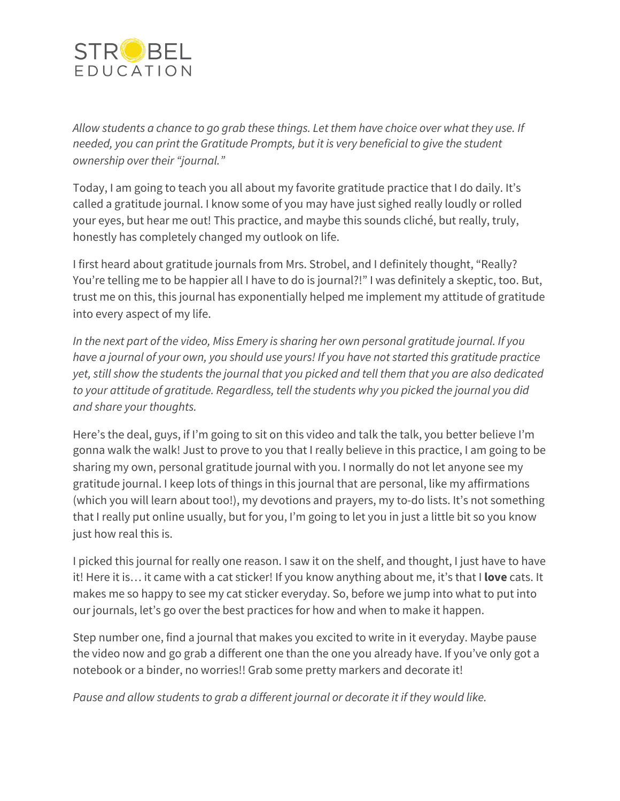

*Allow students a chance to go grab these things. Let them have choice over what they use. If needed, you can print the Gratitude Prompts, but it is very beneficial to give the student ownership over their "journal."*

Today, I am going to teach you all about my favorite gratitude practice that I do daily. It's called a gratitude journal. I know some of you may have just sighed really loudly or rolled your eyes, but hear me out! This practice, and maybe this sounds cliché, but really, truly, honestly has completely changed my outlook on life.

I first heard about gratitude journals from Mrs. Strobel, and I definitely thought, "Really? You're telling me to be happier all I have to do is journal?!" I was definitely a skeptic, too. But, trust me on this, this journal has exponentially helped me implement my attitude of gratitude into every aspect of my life.

*In the next part of the video, Miss Emery is sharing her own personal gratitude journal. If you have a journal of your own, you should use yours! If you have not started this gratitude practice yet, still show the students the journal that you picked and tell them that you are also dedicated to your attitude of gratitude. Regardless, tell the students why you picked the journal you did and share your thoughts.*

Here's the deal, guys, if I'm going to sit on this video and talk the talk, you better believe I'm gonna walk the walk! Just to prove to you that I really believe in this practice, I am going to be sharing my own, personal gratitude journal with you. I normally do not let anyone see my gratitude journal. I keep lots of things in this journal that are personal, like my affirmations (which you will learn about too!), my devotions and prayers, my to-do lists. It's not something that I really put online usually, but for you, I'm going to let you in just a little bit so you know just how real this is.

I picked this journal for really one reason. I saw it on the shelf, and thought, I just have to have it! Here it is… it came with a cat sticker! If you know anything about me, it's that I **love** cats. It makes me so happy to see my cat sticker everyday. So, before we jump into what to put into our journals, let's go over the best practices for how and when to make it happen.

Step number one, find a journal that makes you excited to write in it everyday. Maybe pause the video now and go grab a different one than the one you already have. If you've only got a notebook or a binder, no worries!! Grab some pretty markers and decorate it!

*Pause and allow students to grab a different journal or decorate it if they would like.*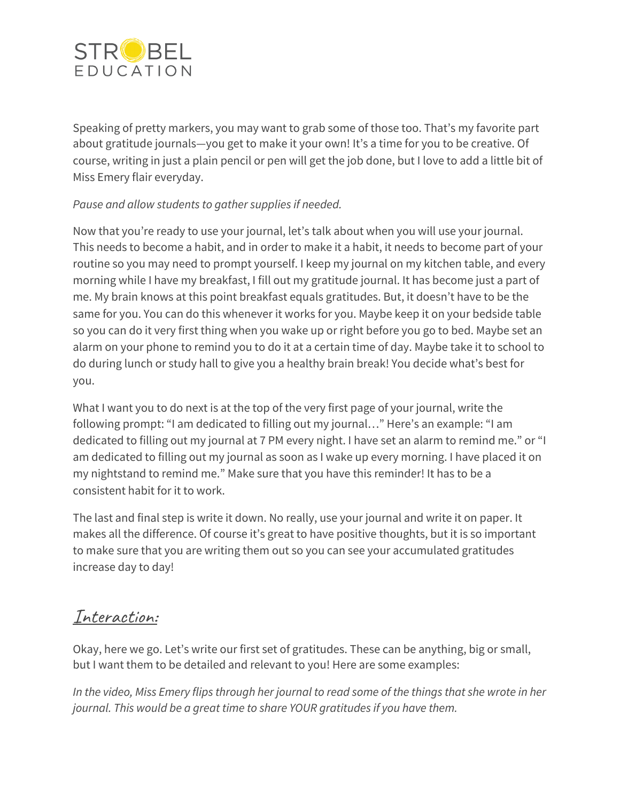

Speaking of pretty markers, you may want to grab some of those too. That's my favorite part about gratitude journals—you get to make it your own! It's a time for you to be creative. Of course, writing in just a plain pencil or pen will get the job done, but I love to add a little bit of Miss Emery flair everyday.

### *Pause and allow students to gather supplies if needed.*

Now that you're ready to use your journal, let's talk about when you will use your journal. This needs to become a habit, and in order to make it a habit, it needs to become part of your routine so you may need to prompt yourself. I keep my journal on my kitchen table, and every morning while I have my breakfast, I fill out my gratitude journal. It has become just a part of me. My brain knows at this point breakfast equals gratitudes. But, it doesn't have to be the same for you. You can do this whenever it works for you. Maybe keep it on your bedside table so you can do it very first thing when you wake up or right before you go to bed. Maybe set an alarm on your phone to remind you to do it at a certain time of day. Maybe take it to school to do during lunch or study hall to give you a healthy brain break! You decide what's best for you.

What I want you to do next is at the top of the very first page of your journal, write the following prompt: "I am dedicated to filling out my journal…" Here's an example: "I am dedicated to filling out my journal at 7 PM every night. I have set an alarm to remind me." or "I am dedicated to filling out my journal as soon as I wake up every morning. I have placed it on my nightstand to remind me." Make sure that you have this reminder! It has to be a consistent habit for it to work.

The last and final step is write it down. No really, use your journal and write it on paper. It makes all the difference. Of course it's great to have positive thoughts, but it is so important to make sure that you are writing them out so you can see your accumulated gratitudes increase day to day!

### Interaction:

Okay, here we go. Let's write our first set of gratitudes. These can be anything, big or small, but I want them to be detailed and relevant to you! Here are some examples:

In the video, Miss Emery flips through her journal to read some of the things that she wrote in her *journal. This would be a great time to share YOUR gratitudes if you have them.*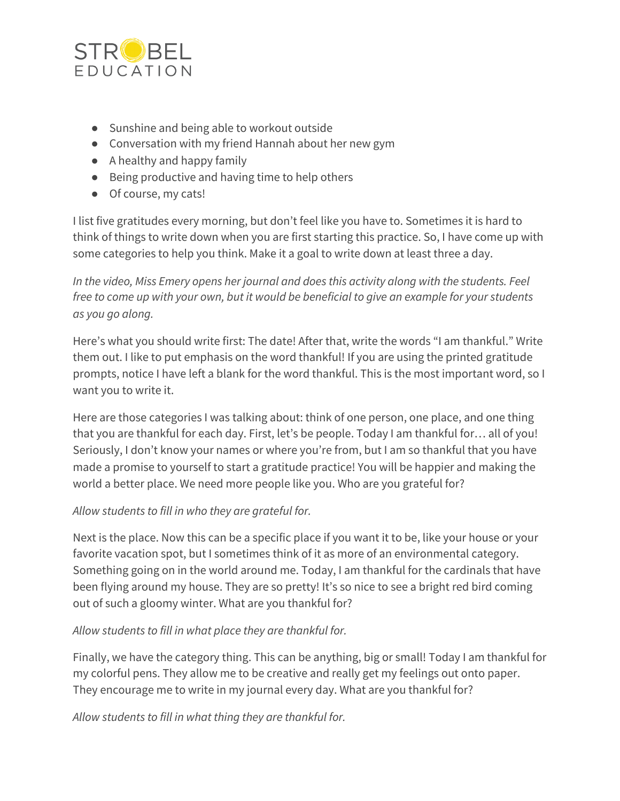

- Sunshine and being able to workout outside
- Conversation with my friend Hannah about her new gym
- A healthy and happy family
- Being productive and having time to help others
- Of course, my cats!

I list five gratitudes every morning, but don't feel like you have to. Sometimes it is hard to think of things to write down when you are first starting this practice. So, I have come up with some categories to help you think. Make it a goal to write down at least three a day.

*In the video, Miss Emery opens her journal and does this activity along with the students. Feel* free to come up with your own, but it would be beneficial to give an example for your students *as you go along.*

Here's what you should write first: The date! After that, write the words "I am thankful." Write them out. I like to put emphasis on the word thankful! If you are using the printed gratitude prompts, notice I have left a blank for the word thankful. This is the most important word, so I want you to write it.

Here are those categories I was talking about: think of one person, one place, and one thing that you are thankful for each day. First, let's be people. Today I am thankful for… all of you! Seriously, I don't know your names or where you're from, but I am so thankful that you have made a promise to yourself to start a gratitude practice! You will be happier and making the world a better place. We need more people like you. Who are you grateful for?

#### *Allow students to fill in who they are grateful for.*

Next is the place. Now this can be a specific place if you want it to be, like your house or your favorite vacation spot, but I sometimes think of it as more of an environmental category. Something going on in the world around me. Today, I am thankful for the cardinals that have been flying around my house. They are so pretty! It's so nice to see a bright red bird coming out of such a gloomy winter. What are you thankful for?

#### *Allow students to fill in what place they are thankful for.*

Finally, we have the category thing. This can be anything, big or small! Today I am thankful for my colorful pens. They allow me to be creative and really get my feelings out onto paper. They encourage me to write in my journal every day. What are you thankful for?

*Allow students to fill in what thing they are thankful for.*